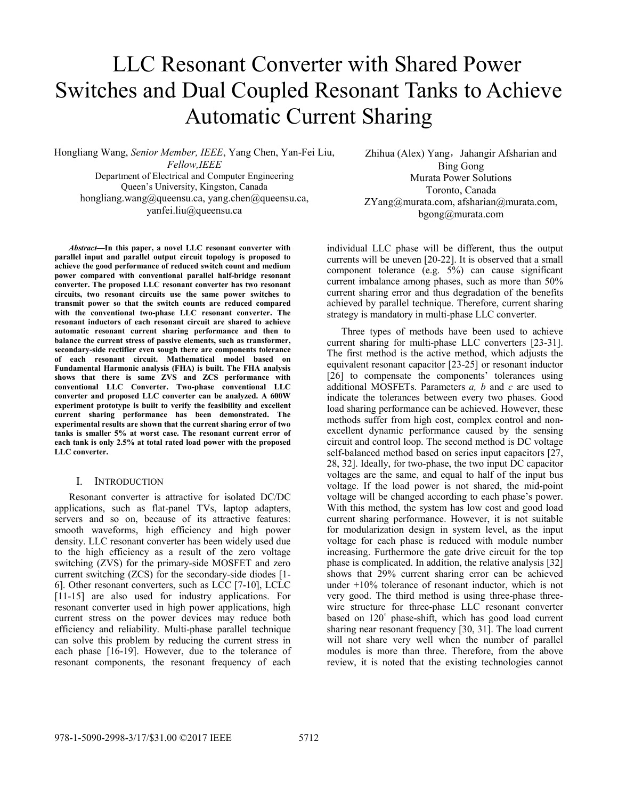# LLC Resonant Converter with Shared Power Switches and Dual Coupled Resonant Tanks to Achieve Automatic Current Sharing

Hongliang Wang, *Senior Member, IEEE*, Yang Chen, Yan-Fei Liu, *Fellow,IEEE* Department of Electrical and Computer Engineering Queen's University, Kingston, Canada hongliang.wang@queensu.ca, yang.chen@queensu.ca, yanfei.liu@queensu.ca

*Abstract***—In this paper, a novel LLC resonant converter with parallel input and parallel output circuit topology is proposed to achieve the good performance of reduced switch count and medium power compared with conventional parallel half-bridge resonant converter. The proposed LLC resonant converter has two resonant circuits, two resonant circuits use the same power switches to transmit power so that the switch counts are reduced compared with the conventional two-phase LLC resonant converter. The resonant inductors of each resonant circuit are shared to achieve automatic resonant current sharing performance and then to balance the current stress of passive elements, such as transformer, secondary-side rectifier even sough there are components tolerance of each resonant circuit. Mathematical model based on Fundamental Harmonic analysis (FHA) is built. The FHA analysis shows that there is same ZVS and ZCS performance with conventional LLC Converter. Two-phase conventional LLC converter and proposed LLC converter can be analyzed. A 600W experiment prototype is built to verify the feasibility and excellent current sharing performance has been demonstrated. The experimental results are shown that the current sharing error of two tanks is smaller 5% at worst case. The resonant current error of each tank is only 2.5% at total rated load power with the proposed LLC converter.** 

#### I. INTRODUCTION

Resonant converter is attractive for isolated DC/DC applications, such as flat-panel TVs, laptop adapters, servers and so on, because of its attractive features: smooth waveforms, high efficiency and high power density. LLC resonant converter has been widely used due to the high efficiency as a result of the zero voltage switching (ZVS) for the primary-side MOSFET and zero current switching (ZCS) for the secondary-side diodes [1- 6]. Other resonant converters, such as LCC [7-10], LCLC [11-15] are also used for industry applications. For resonant converter used in high power applications, high current stress on the power devices may reduce both efficiency and reliability. Multi-phase parallel technique can solve this problem by reducing the current stress in each phase [16-19]. However, due to the tolerance of resonant components, the resonant frequency of each

Zhihua (Alex) Yang, Jahangir Afsharian and Bing Gong Murata Power Solutions Toronto, Canada ZYang@murata.com, afsharian@murata.com, bgong@murata.com

individual LLC phase will be different, thus the output currents will be uneven [20-22]. It is observed that a small component tolerance (e.g. 5%) can cause significant current imbalance among phases, such as more than 50% current sharing error and thus degradation of the benefits achieved by parallel technique. Therefore, current sharing strategy is mandatory in multi-phase LLC converter.

Three types of methods have been used to achieve current sharing for multi-phase LLC converters [23-31]. The first method is the active method, which adjusts the equivalent resonant capacitor [23-25] or resonant inductor [26] to compensate the components' tolerances using additional MOSFETs. Parameters *a, b* and *c* are used to indicate the tolerances between every two phases. Good load sharing performance can be achieved. However, these methods suffer from high cost, complex control and nonexcellent dynamic performance caused by the sensing circuit and control loop. The second method is DC voltage self-balanced method based on series input capacitors [27, 28, 32]. Ideally, for two-phase, the two input DC capacitor voltages are the same, and equal to half of the input bus voltage. If the load power is not shared, the mid-point voltage will be changed according to each phase's power. With this method, the system has low cost and good load current sharing performance. However, it is not suitable for modularization design in system level, as the input voltage for each phase is reduced with module number increasing. Furthermore the gate drive circuit for the top phase is complicated. In addition, the relative analysis [32] shows that 29% current sharing error can be achieved under +10% tolerance of resonant inductor, which is not very good. The third method is using three-phase threewire structure for three-phase LLC resonant converter based on 120° phase-shift, which has good load current sharing near resonant frequency [30, 31]. The load current will not share very well when the number of parallel modules is more than three. Therefore, from the above review, it is noted that the existing technologies cannot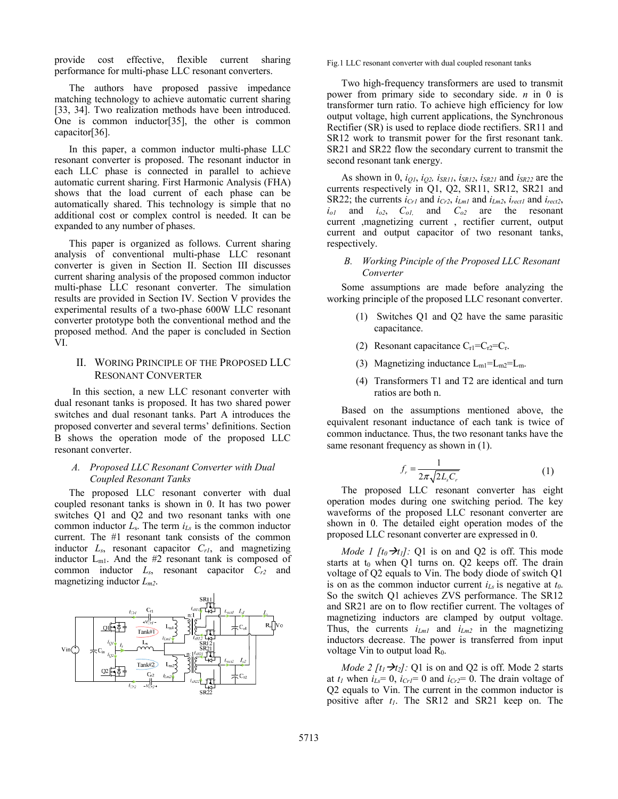provide cost effective, flexible current sharing performance for multi-phase LLC resonant converters.

The authors have proposed passive impedance matching technology to achieve automatic current sharing [33, 34]. Two realization methods have been introduced. One is common inductor[35], the other is common capacitor[36].

In this paper, a common inductor multi-phase LLC resonant converter is proposed. The resonant inductor in each LLC phase is connected in parallel to achieve automatic current sharing. First Harmonic Analysis (FHA) shows that the load current of each phase can be automatically shared. This technology is simple that no additional cost or complex control is needed. It can be expanded to any number of phases.

This paper is organized as follows. Current sharing analysis of conventional multi-phase LLC resonant converter is given in Section II. Section III discusses current sharing analysis of the proposed common inductor multi-phase LLC resonant converter. The simulation results are provided in Section IV. Section V provides the experimental results of a two-phase 600W LLC resonant converter prototype both the conventional method and the proposed method. And the paper is concluded in Section VI.

# II. WORING PRINCIPLE OF THE PROPOSED LLC RESONANT CONVERTER

In this section, a new LLC resonant converter with dual resonant tanks is proposed. It has two shared power switches and dual resonant tanks. Part A introduces the proposed converter and several terms' definitions. Section B shows the operation mode of the proposed LLC resonant converter.

## *A. Proposed LLC Resonant Converter with Dual Coupled Resonant Tanks*

The proposed LLC resonant converter with dual coupled resonant tanks is shown in 0. It has two power switches Q1 and Q2 and two resonant tanks with one common inductor *L*s. The term *iLs* is the common inductor current. The #1 resonant tank consists of the common inductor *Ls*, resonant capacitor *Cr1*, and magnetizing inductor Lm1. And the #2 resonant tank is composed of common inductor *Ls*, resonant capacitor *Cr2* and magnetizing inductor *Lm2*.



Fig.1 LLC resonant converter with dual coupled resonant tanks

Two high-frequency transformers are used to transmit power from primary side to secondary side. *n* in 0 is transformer turn ratio. To achieve high efficiency for low output voltage, high current applications, the Synchronous Rectifier (SR) is used to replace diode rectifiers. SR11 and SR12 work to transmit power for the first resonant tank. SR21 and SR22 flow the secondary current to transmit the second resonant tank energy.

As shown in 0, *iQ1*, *iQ2, iSR11*, *iSR12*, *iSR21* and *iSR22* are the currents respectively in Q1, Q2, SR11, SR12, SR21 and SR22; the currents  $i_{Cr1}$  and  $i_{Cr2}$ ,  $i_{Lml}$  and  $i_{Lm2}$ ,  $i_{rect1}$  and  $i_{rect2}$ , *io1* and *io2*, *Co1,* and *Co2* are the resonant current ,magnetizing current , rectifier current, output current and output capacitor of two resonant tanks, respectively.

## *B. Working Pinciple of the Proposed LLC Resonant Converter*

Some assumptions are made before analyzing the working principle of the proposed LLC resonant converter.

- (1) Switches Q1 and Q2 have the same parasitic capacitance.
- (2) Resonant capacitance  $C_{r1} = C_{r2} = C_r$ .
- (3) Magnetizing inductance  $L_{m1} = L_{m2} = L_m$ .
- (4) Transformers T1 and T2 are identical and turn ratios are both n.

Based on the assumptions mentioned above, the equivalent resonant inductance of each tank is twice of common inductance. Thus, the two resonant tanks have the same resonant frequency as shown in  $(1)$ .

$$
f_r = \frac{1}{2\pi\sqrt{2L_sC_r}}\tag{1}
$$

The proposed LLC resonant converter has eight operation modes during one switching period. The key waveforms of the proposed LLC resonant converter are shown in 0. The detailed eight operation modes of the proposed LLC resonant converter are expressed in 0.

*Mode 1 [t<sub>0</sub>* $\rightarrow$ *t<sub>1</sub>]*: Q1 is on and Q2 is off. This mode starts at  $t_0$  when Q1 turns on. Q2 keeps off. The drain voltage of Q2 equals to Vin. The body diode of switch Q1 is on as the common inductor current *iLs* is negative at *t0*. So the switch Q1 achieves ZVS performance. The SR12 and SR21 are on to flow rectifier current. The voltages of magnetizing inductors are clamped by output voltage. Thus, the currents  $i_{Lml}$  and  $i_{Lm2}$  in the magnetizing inductors decrease. The power is transferred from input voltage Vin to output load R<sub>0</sub>.

*Mode 2 [t<sub>1</sub>* $\rightarrow$ *t<sub>2</sub>]*: Q1 is on and Q2 is off. Mode 2 starts at  $t_1$  when  $i_{Ls} = 0$ ,  $i_{Cr1} = 0$  and  $i_{Cr2} = 0$ . The drain voltage of Q2 equals to Vin. The current in the common inductor is positive after  $t_1$ . The SR12 and SR21 keep on. The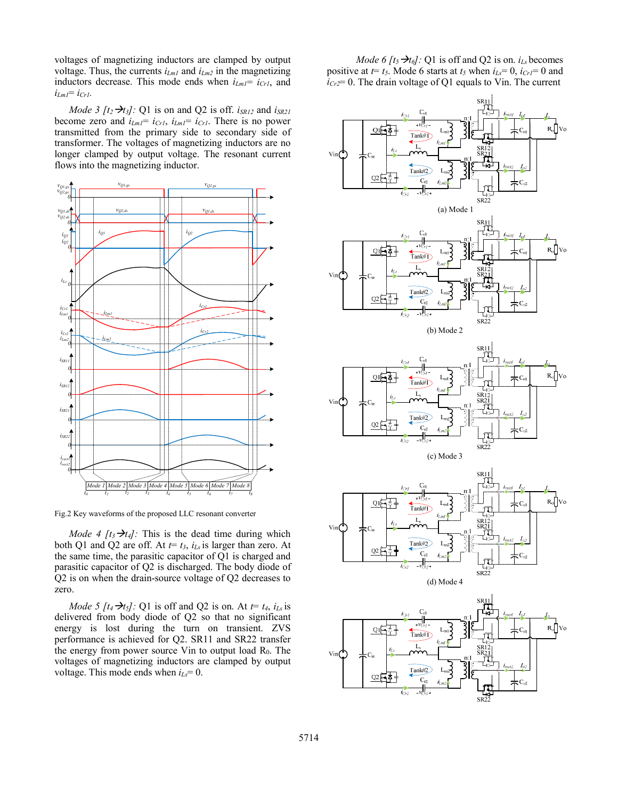voltages of magnetizing inductors are clamped by output voltage. Thus, the currents  $i_{Lm1}$  and  $i_{Lm2}$  in the magnetizing inductors decrease. This mode ends when  $i_{Lml} = i_{CrI}$ , and  $i_{Lml} = i_{Crl}$ .

*Mode 3 [t<sub>2</sub>*  $\rightarrow$ *t<sub>3</sub>]:* Q1 is on and Q2 is off. *iSR12* and *iSR21* become zero and *iLm1*= *iCr1*, *iLm1*= *iCr1*. There is no power transmitted from the primary side to secondary side of transformer. The voltages of magnetizing inductors are no longer clamped by output voltage. The resonant current flows into the magnetizing inductor.



Fig.2 Key waveforms of the proposed LLC resonant converter

*Mode 4 [t<sub>3</sub>*  $\rightarrow$ *t<sub>4</sub>]:* This is the dead time during which both Q1 and Q2 are off. At  $t = t_3$ ,  $i_{Ls}$  is larger than zero. At the same time, the parasitic capacitor of Q1 is charged and parasitic capacitor of Q2 is discharged. The body diode of Q2 is on when the drain-source voltage of Q2 decreases to zero.

*Mode 5 [t<sub>4</sub>*  $\rightarrow$ *t<sub>5</sub>]*: Q1 is off and Q2 is on. At *t*= *t<sub>4</sub>*, *i<sub>Ls</sub>* is delivered from body diode of Q2 so that no significant energy is lost during the turn on transient. ZVS performance is achieved for Q2. SR11 and SR22 transfer the energy from power source Vin to output load  $R_0$ . The voltages of magnetizing inductors are clamped by output voltage. This mode ends when *iLs*= 0.

*Mode 6 [t<sub>5</sub>* $\rightarrow t_6$ ]: Q1 is off and Q2 is on. *i<sub>Ls</sub>* becomes positive at  $t = t_5$ . Mode 6 starts at  $t_5$  when  $i_{Ls} = 0$ ,  $i_{Cr} = 0$  and  $i_{Cr2}$ = 0. The drain voltage of Q1 equals to Vin. The current

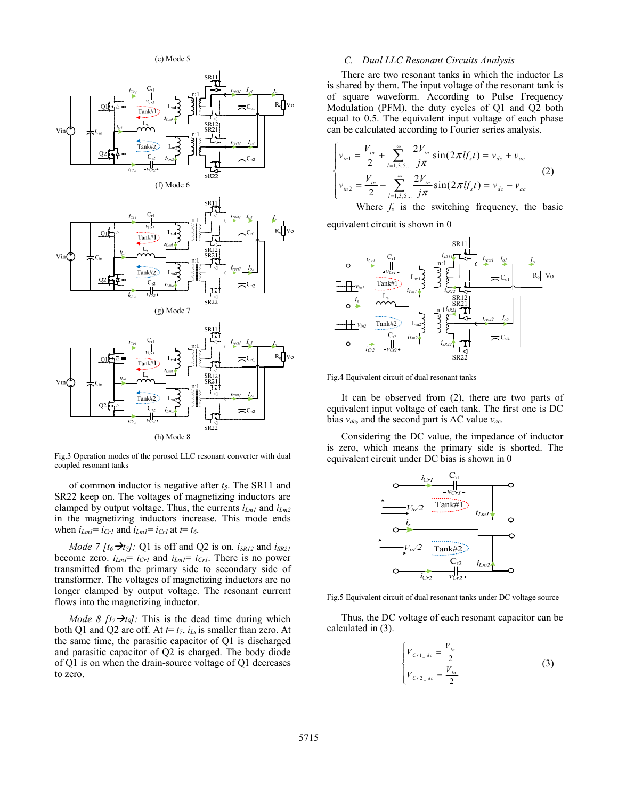(e) Mode 5



Fig.3 Operation modes of the porosed LLC resonant converter with dual coupled resonant tanks

of common inductor is negative after *t5*. The SR11 and SR22 keep on. The voltages of magnetizing inductors are clamped by output voltage. Thus, the currents *iLm1* and *iLm2* in the magnetizing inductors increase. This mode ends when  $i_{Lml} = i_{Crl}$  and  $i_{Lml} = i_{Crl}$  at  $t = t_6$ .

*Mode 7 [t<sub>6</sub>* $\rightarrow$ *t<sub>7</sub>]*: Q1 is off and Q2 is on. *i<sub>SR12</sub>* and *i<sub>SR21</sub>* become zero.  $i_{Lml} = i_{Crl}$  and  $i_{Lml} = i_{Crl}$ . There is no power transmitted from the primary side to secondary side of transformer. The voltages of magnetizing inductors are no longer clamped by output voltage. The resonant current flows into the magnetizing inductor.

*Mode 8 [t7* $\rightarrow t_8$ ]: This is the dead time during which both Q1 and Q2 are off. At  $t=t_7$ ,  $i_{Ls}$  is smaller than zero. At the same time, the parasitic capacitor of Q1 is discharged and parasitic capacitor of Q2 is charged. The body diode of Q1 is on when the drain-source voltage of Q1 decreases to zero.

#### *C. Dual LLC Resonant Circuits Analysis*

There are two resonant tanks in which the inductor Ls is shared by them. The input voltage of the resonant tank is of square waveform. According to Pulse Frequency Modulation (PFM), the duty cycles of Q1 and Q2 both equal to 0.5. The equivalent input voltage of each phase can be calculated according to Fourier series analysis.

$$
\begin{cases}\nv_{in1} = \frac{V_{in}}{2} + \sum_{l=1,3,5...}^{\infty} \frac{2V_{in}}{j\pi} \sin(2\pi l f_s t) = v_{dc} + v_{ac} \\
v_{in2} = \frac{V_{in}}{2} - \sum_{l=1,3,5...}^{\infty} \frac{2V_{in}}{j\pi} \sin(2\pi l f_s t) = v_{dc} - v_{ac}\n\end{cases}
$$
\n(2)

Where *fs* is the switching frequency, the basic equivalent circuit is shown in 0

 $L_{ml}$ n:1 SR11 SR12 Vo Ro Ls  $L_{m2}$ n:1 SR21  $i_{Crl}$   $C_{r1}$   $i_{sR11}$   $C_{r1}$   $i_{rectl}$   $I_{ol}$ *Io2*  $i_{rect1}$   $I_{o1}$   $I_{o}$ *irect2*  $C_{r1}$ *iCr2* Tank#1 Tank#2  $C_{r2}$  $C_{o1}$  $C_{o2}$ *isR11 isR12 isR22 isR21 iLm2 iLm1 vCr2 vCr1 is vin1 vin2*

Fig.4 Equivalent circuit of dual resonant tanks

It can be observed from (2), there are two parts of equivalent input voltage of each tank. The first one is DC bias *vdc*, and the second part is AC value *vac*.

SR22

Considering the DC value, the impedance of inductor is zero, which means the primary side is shorted. The equivalent circuit under DC bias is shown in 0



Fig.5 Equivalent circuit of dual resonant tanks under DC voltage source

Thus, the DC voltage of each resonant capacitor can be calculated in (3).

$$
\begin{cases}\n V_{C_{r1\_dc}} = \frac{V_{in}}{2} \\
 V_{C_{r2\_dc}} = \frac{V_{in}}{2}\n\end{cases}
$$
\n(3)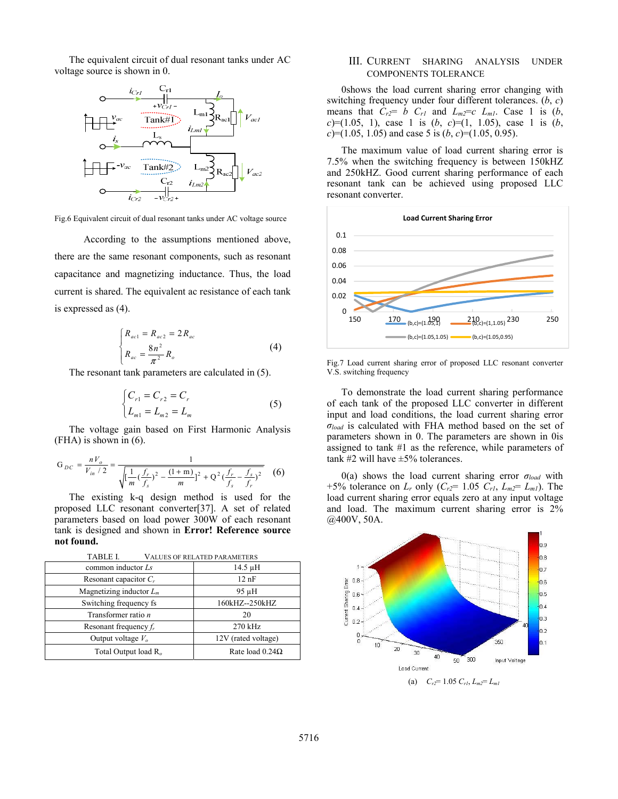The equivalent circuit of dual resonant tanks under AC voltage source is shown in 0.



Fig.6 Equivalent circuit of dual resonant tanks under AC voltage source

According to the assumptions mentioned above, there are the same resonant components, such as resonant capacitance and magnetizing inductance. Thus, the load current is shared. The equivalent ac resistance of each tank is expressed as (4).

$$
\begin{cases}\nR_{ac1} = R_{ac2} = 2R_{ac} \\
R_{ac} = \frac{8n^2}{\pi^2} R_o\n\end{cases}
$$
\n(4)

The resonant tank parameters are calculated in (5).

$$
\begin{cases} C_{r1} = C_{r2} = C_r \\ L_{m1} = L_{m2} = L_m \end{cases}
$$
 (5)

The voltage gain based on First Harmonic Analysis (FHA) is shown in (6).

$$
G_{DC} = \frac{nV_o}{V_{in}/2} = \frac{1}{\sqrt{\left[\frac{1}{m}(\frac{f_r}{f_s})^2 - \frac{(1+m)}{m}\right]^2 + Q^2(\frac{f_r}{f_s} - \frac{f_s}{f_r})^2}}
$$
(6)

The existing k-q design method is used for the proposed LLC resonant converter[37]. A set of related parameters based on load power 300W of each resonant tank is designed and shown in **Error! Reference source not found.**

| <b>TABLE I.</b><br><b>VALUES OF RELATED PARAMETERS</b> |                        |
|--------------------------------------------------------|------------------------|
| common inductor Ls                                     | $14.5 \mu H$           |
| Resonant capacitor $C_r$                               | $12$ nF                |
| Magnetizing inductor $L_m$                             | $95 \mu H$             |
| Switching frequency fs                                 | 160kHZ--250kHZ         |
| Transformer ratio <i>n</i>                             | 20                     |
| Resonant frequency $f_r$                               | $270$ kHz              |
| Output voltage $V_o$                                   | 12V (rated voltage)    |
| Total Output load $R_{o}$                              | Rate load $0.24\Omega$ |

## III. CURRENT SHARING ANALYSIS UNDER COMPONENTS TOLERANCE

0shows the load current sharing error changing with switching frequency under four different tolerances. (*b*, *c*) means that  $C_{r2} = b \quad C_{r1}$  and  $L_{m2} = c \quad L_{m1}$ . Case 1 is  $(b,$ *c*)=(1.05, 1), case 1 is (*b*, *c*)=(1, 1.05), case 1 is (*b*,  $c$ )=(1.05, 1.05) and case 5 is (*b*, *c*)=(1.05, 0.95).

The maximum value of load current sharing error is 7.5% when the switching frequency is between 150kHZ and 250kHZ. Good current sharing performance of each resonant tank can be achieved using proposed LLC resonant converter.



Fig.7 Load current sharing error of proposed LLC resonant converter V.S. switching frequency

To demonstrate the load current sharing performance of each tank of the proposed LLC converter in different input and load conditions, the load current sharing error  $\sigma_{load}$  is calculated with FHA method based on the set of parameters shown in 0. The parameters are shown in 0is assigned to tank #1 as the reference, while parameters of tank  $#2$  will have  $\pm 5\%$  tolerances.

0(a) shows the load current sharing error  $\sigma_{load}$  with +5% tolerance on  $L_r$  only  $(C_{r2} = 1.05 \, C_{r1}, L_{m2} = L_{m1})$ . The load current sharing error equals zero at any input voltage and load. The maximum current sharing error is 2% @400V, 50A.

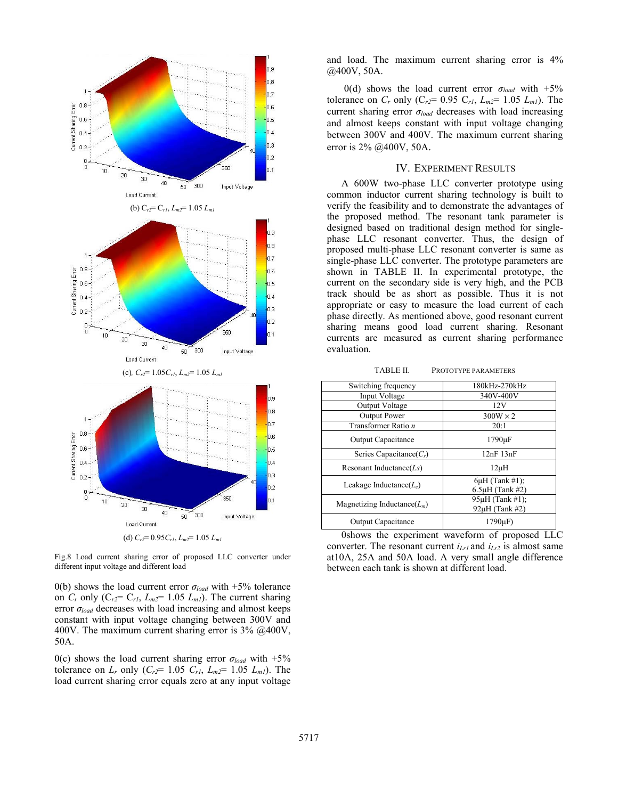

Fig.8 Load current sharing error of proposed LLC converter under different input voltage and different load

0(b) shows the load current error  $\sigma_{load}$  with +5% tolerance on  $C_r$  only  $(C_{r2} = C_{r1}, L_{m2} = 1.05 L_{m1})$ . The current sharing error  $\sigma_{load}$  decreases with load increasing and almost keeps constant with input voltage changing between 300V and 400V. The maximum current sharing error is 3% @400V, 50A.

0(c) shows the load current sharing error  $\sigma_{load}$  with  $+5\%$ tolerance on  $L_r$  only  $(C_{r2} = 1.05 \, C_{r1}, L_{m2} = 1.05 \, L_{m1})$ . The load current sharing error equals zero at any input voltage and load. The maximum current sharing error is 4% @400V, 50A.

0(d) shows the load current error  $\sigma_{load}$  with  $+5\%$ tolerance on  $C_r$  only ( $C_{r2}$ = 0.95  $C_{r1}$ ,  $L_{m2}$ = 1.05  $L_{m1}$ ). The current sharing error  $\sigma_{load}$  decreases with load increasing and almost keeps constant with input voltage changing between 300V and 400V. The maximum current sharing error is 2% @400V, 50A.

## IV. EXPERIMENT RESULTS

A 600W two-phase LLC converter prototype using common inductor current sharing technology is built to verify the feasibility and to demonstrate the advantages of the proposed method. The resonant tank parameter is designed based on traditional design method for singlephase LLC resonant converter. Thus, the design of proposed multi-phase LLC resonant converter is same as single-phase LLC converter. The prototype parameters are shown in TABLE II. In experimental prototype, the current on the secondary side is very high, and the PCB track should be as short as possible. Thus it is not appropriate or easy to measure the load current of each phase directly. As mentioned above, good resonant current sharing means good load current sharing. Resonant currents are measured as current sharing performance evaluation.

TABLE II. PROTOTYPE PARAMETERS

| Switching frequency            | 180kHz-270kHz                               |
|--------------------------------|---------------------------------------------|
| Input Voltage                  | 340V-400V                                   |
| Output Voltage                 | 12V                                         |
| <b>Output Power</b>            | $300W \times 2$                             |
| Transformer Ratio n            | 20:1                                        |
| <b>Output Capacitance</b>      | $1790 \mu F$                                |
| Series Capacitance( $C_r$ )    | $12nF$ $13nF$                               |
| Resonant Inductance $(Ls)$     | $12\mu H$                                   |
| Leakage Inductance $(L_e)$     | $6\mu$ H (Tank #1);<br>$6.5\mu$ H (Tank #2) |
| Magnetizing Inductance $(L_m)$ | 95µH (Tank #1);<br>92uH (Tank #2)           |
| Output Capacitance             | $1790\mu F$                                 |

0shows the experiment waveform of proposed LLC converter. The resonant current  $i_{Lr1}$  and  $i_{Lr2}$  is almost same at10A, 25A and 50A load. A very small angle difference between each tank is shown at different load.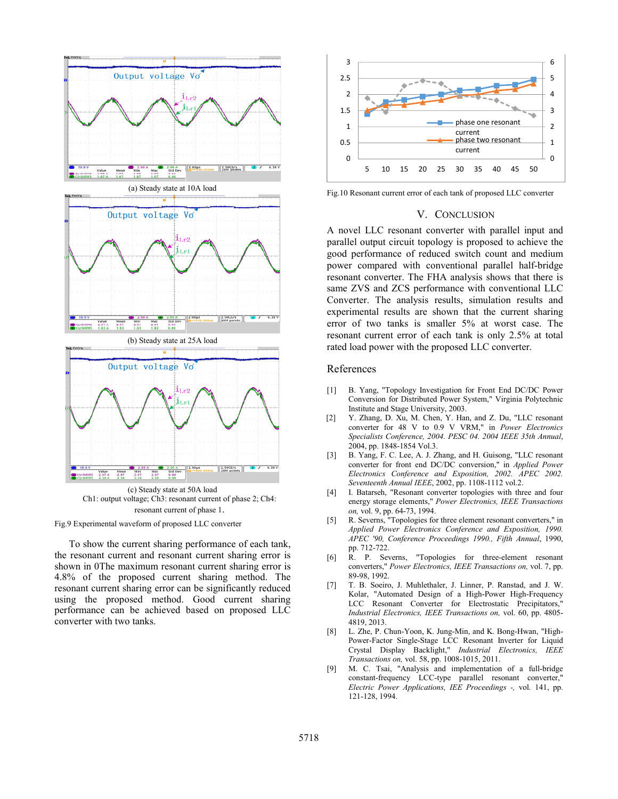

resonant current of phase 1.



To show the current sharing performance of each tank, the resonant current and resonant current sharing error is shown in 0The maximum resonant current sharing error is 4.8% of the proposed current sharing method. The resonant current sharing error can be significantly reduced using the proposed method. Good current sharing performance can be achieved based on proposed LLC converter with two tanks.



Fig.10 Resonant current error of each tank of proposed LLC converter

### V. CONCLUSION

A novel LLC resonant converter with parallel input and parallel output circuit topology is proposed to achieve the good performance of reduced switch count and medium power compared with conventional parallel half-bridge resonant converter. The FHA analysis shows that there is same ZVS and ZCS performance with conventional LLC Converter. The analysis results, simulation results and experimental results are shown that the current sharing error of two tanks is smaller 5% at worst case. The resonant current error of each tank is only 2.5% at total rated load power with the proposed LLC converter.

## References

- [1] B. Yang, "Topology Investigation for Front End DC/DC Power Conversion for Distributed Power System," Virginia Polytechnic Institute and Stage University, 2003.
- [2] Y. Zhang, D. Xu, M. Chen, Y. Han, and Z. Du, "LLC resonant converter for 48 V to 0.9 V VRM," in *Power Electronics Specialists Conference, 2004. PESC 04. 2004 IEEE 35th Annual*, 2004, pp. 1848-1854 Vol.3.
- [3] B. Yang, F. C. Lee, A. J. Zhang, and H. Guisong, "LLC resonant converter for front end DC/DC conversion," in *Applied Power Electronics Conference and Exposition, 2002. APEC 2002. Seventeenth Annual IEEE*, 2002, pp. 1108-1112 vol.2.
- [4] I. Batarseh, "Resonant converter topologies with three and four energy storage elements," *Power Electronics, IEEE Transactions on,* vol. 9, pp. 64-73, 1994.
- [5] R. Severns, "Topologies for three element resonant converters," in *Applied Power Electronics Conference and Exposition, 1990. APEC '90, Conference Proceedings 1990., Fifth Annual*, 1990, pp. 712-722.
- [6] R. P. Severns, "Topologies for three-element resonant converters," *Power Electronics, IEEE Transactions on,* vol. 7, pp. 89-98, 1992.
- [7] T. B. Soeiro, J. Muhlethaler, J. Linner, P. Ranstad, and J. W. Kolar, "Automated Design of a High-Power High-Frequency LCC Resonant Converter for Electrostatic Precipitators," *Industrial Electronics, IEEE Transactions on,* vol. 60, pp. 4805- 4819, 2013.
- [8] L. Zhe, P. Chun-Yoon, K. Jung-Min, and K. Bong-Hwan, "High-Power-Factor Single-Stage LCC Resonant Inverter for Liquid Crystal Display Backlight," *Industrial Electronics, IEEE Transactions on,* vol. 58, pp. 1008-1015, 2011.
- [9] M. C. Tsai, "Analysis and implementation of a full-bridge constant-frequency LCC-type parallel resonant converter," *Electric Power Applications, IEE Proceedings -,* vol. 141, pp. 121-128, 1994.